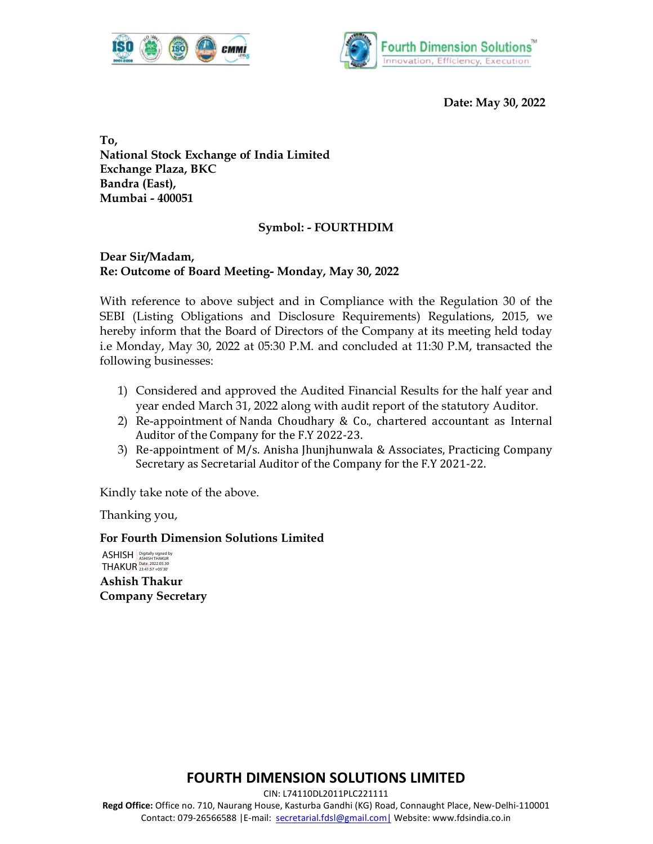



Date: May 30, 2022

To, National Stock Exchange of India Limited Exchange Plaza, BKC Bandra (East), Mumbai - 400051

### Symbol: - FOURTHDIM

### Dear Sir/Madam, Re: Outcome of Board Meeting- Monday, May 30, 2022

With reference to above subject and in Compliance with the Regulation 30 of the SEBI (Listing Obligations and Disclosure Requirements) Regulations, 2015, we hereby inform that the Board of Directors of the Company at its meeting held today i.e Monday, May 30, 2022 at 05:30 P.M. and concluded at 11:30 P.M, transacted the following businesses:

- 1) Considered and approved the Audited Financial Results for the half year and year ended March 31, 2022 along with audit report of the statutory Auditor.
- 2) Re-appointment of Nanda Choudhary & Co., chartered accountant as Internal Auditor of the Company for the F.Y 2022-23.
- 3) Re-appointment of M/s. Anisha Jhunjhunwala & Associates, Practicing Company Secretary as Secretarial Auditor of the Company for the F.Y 2021-22.

Kindly take note of the above.

Thanking you,

### For Fourth Dimension Solutions Limited

Ashish Thakur Company Secretary ASHISH THAKUR Digitally signed by ASHISH THAKUR Date: 2022.05.30 23:41:57 +05'30'

FOURTH DIMENSION SOLUTIONS LIMITED

CIN: L74110DL2011PLC221111

Regd Office: Office no. 710, Naurang House, Kasturba Gandhi (KG) Road, Connaught Place, New-Delhi-110001 Contact: 079-26566588 |E-mail: secretarial.fdsl@gmail.com| Website: www.fdsindia.co.in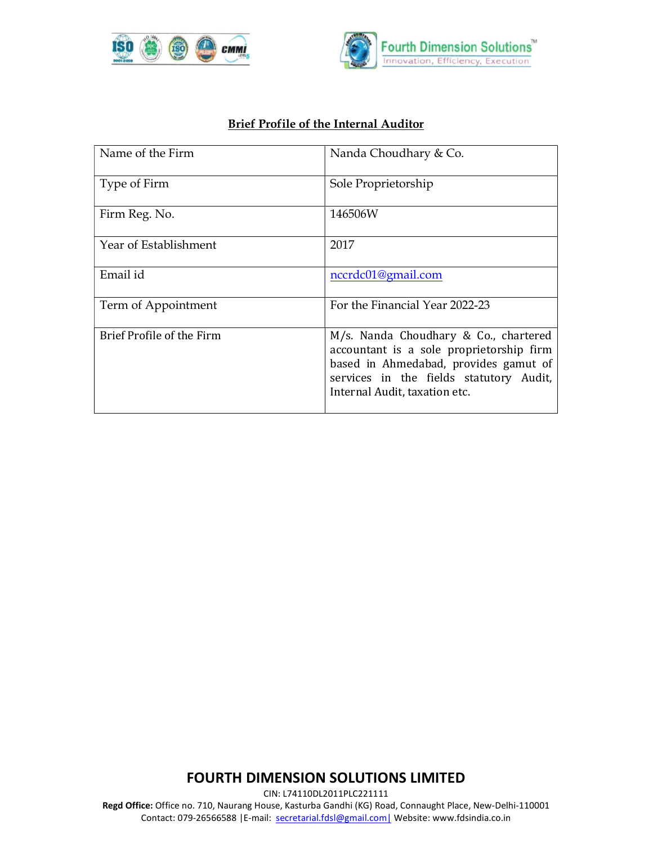



### Brief Profile of the Internal Auditor

| Name of the Firm          | Nanda Choudhary & Co.                                                                                                                                                                                  |
|---------------------------|--------------------------------------------------------------------------------------------------------------------------------------------------------------------------------------------------------|
| Type of Firm              | Sole Proprietorship                                                                                                                                                                                    |
| Firm Reg. No.             | 146506W                                                                                                                                                                                                |
| Year of Establishment     | 2017                                                                                                                                                                                                   |
| Email id                  | nccrdc01@gmail.com                                                                                                                                                                                     |
| Term of Appointment       | For the Financial Year 2022-23                                                                                                                                                                         |
| Brief Profile of the Firm | M/s. Nanda Choudhary & Co., chartered<br>accountant is a sole proprietorship firm<br>based in Ahmedabad, provides gamut of<br>services in the fields statutory Audit,<br>Internal Audit, taxation etc. |

# FOURTH DIMENSION SOLUTIONS LIMITED

CIN: L74110DL2011PLC221111

Regd Office: Office no. 710, Naurang House, Kasturba Gandhi (KG) Road, Connaught Place, New-Delhi-110001 Contact: 079-26566588 | E-mail: secretarial.fdsl@gmail.com | Website: www.fdsindia.co.in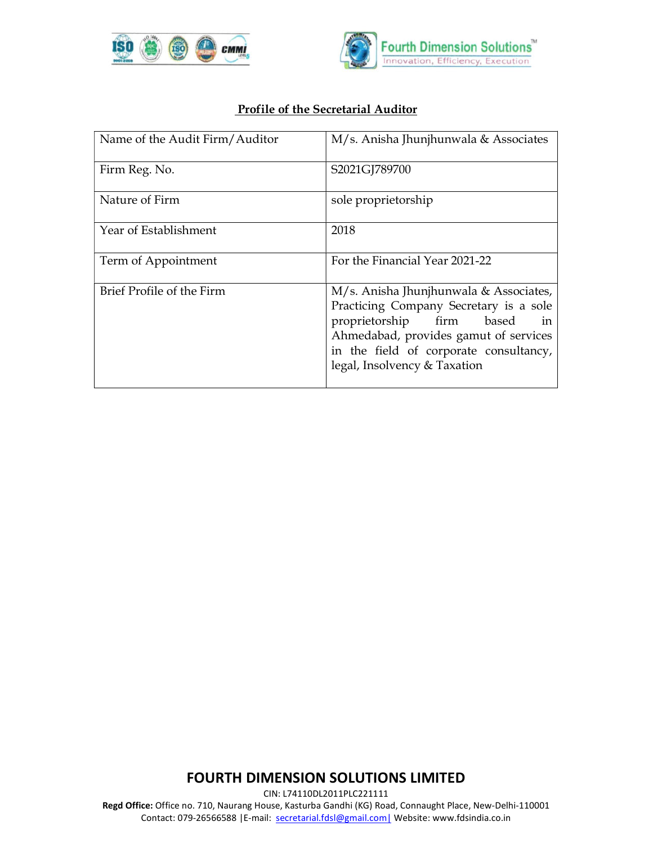



### Profile of the Secretarial Auditor

| Name of the Audit Firm/Auditor | M/s. Anisha Jhunjhunwala & Associates                                                                                                                                                                                                  |
|--------------------------------|----------------------------------------------------------------------------------------------------------------------------------------------------------------------------------------------------------------------------------------|
| Firm Reg. No.                  | S2021GJ789700                                                                                                                                                                                                                          |
| Nature of Firm                 | sole proprietorship                                                                                                                                                                                                                    |
| Year of Establishment          | 2018                                                                                                                                                                                                                                   |
| Term of Appointment            | For the Financial Year 2021-22                                                                                                                                                                                                         |
| Brief Profile of the Firm      | M/s. Anisha Jhunjhunwala & Associates,<br>Practicing Company Secretary is a sole<br>proprietorship firm based<br>in<br>Ahmedabad, provides gamut of services<br>in the field of corporate consultancy,<br>legal, Insolvency & Taxation |

# FOURTH DIMENSION SOLUTIONS LIMITED

CIN: L74110DL2011PLC221111

Regd Office: Office no. 710, Naurang House, Kasturba Gandhi (KG) Road, Connaught Place, New-Delhi-110001 Contact: 079-26566588 | E-mail: secretarial.fdsl@gmail.com | Website: www.fdsindia.co.in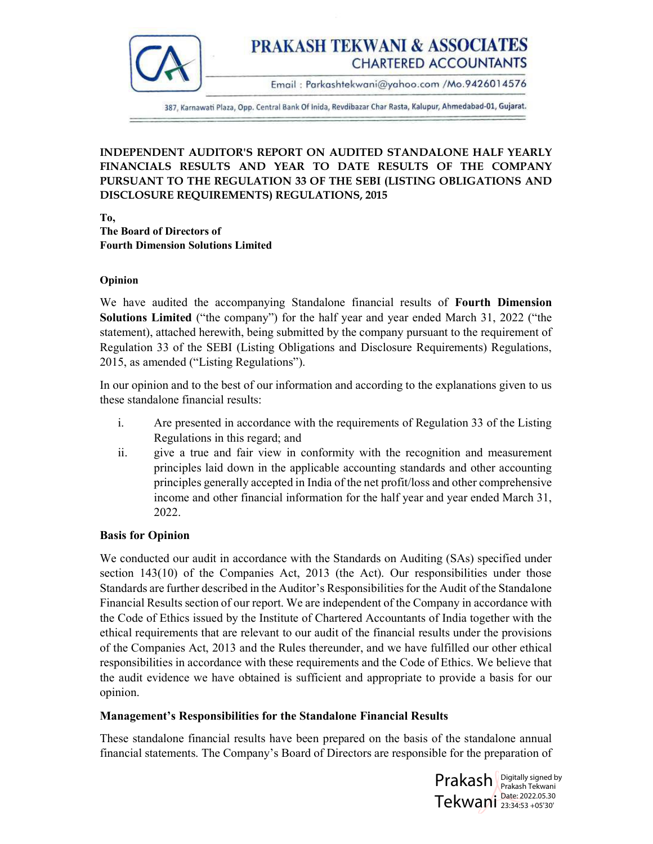

# **PRAKASH TEKWANI & ASSOCIATES CHARTERED ACCOUNTANTS**

Email: Parkashtekwani@yahoo.com /Mo.9426014576

387, Karnawati Plaza, Opp. Central Bank Of Inida, Revdibazar Char Rasta, Kalupur, Ahmedabad-01, Gujarat.

### INDEPENDENT AUDITOR'S REPORT ON AUDITED STANDALONE HALF YEARLY FINANCIALS RESULTS AND YEAR TO DATE RESULTS OF THE COMPANY PURSUANT TO THE REGULATION 33 OF THE SEBI (LISTING OBLIGATIONS AND DISCLOSURE REQUIREMENTS) REGULATIONS, 2015

To, The Board of Directors of Fourth Dimension Solutions Limited

#### Opinion

We have audited the accompanying Standalone financial results of **Fourth Dimension** Solutions Limited ("the company") for the half year and year ended March 31, 2022 ("the statement), attached herewith, being submitted by the company pursuant to the requirement of Regulation 33 of the SEBI (Listing Obligations and Disclosure Requirements) Regulations, 2015, as amended ("Listing Regulations").

In our opinion and to the best of our information and according to the explanations given to us these standalone financial results:

- i. Are presented in accordance with the requirements of Regulation 33 of the Listing Regulations in this regard; and
- ii. give a true and fair view in conformity with the recognition and measurement principles laid down in the applicable accounting standards and other accounting principles generally accepted in India of the net profit/loss and other comprehensive income and other financial information for the half year and year ended March 31, 2022.

#### Basis for Opinion

We conducted our audit in accordance with the Standards on Auditing (SAs) specified under section 143(10) of the Companies Act, 2013 (the Act). Our responsibilities under those Standards are further described in the Auditor's Responsibilities for the Audit of the Standalone Financial Results section of our report. We are independent of the Company in accordance with the Code of Ethics issued by the Institute of Chartered Accountants of India together with the ethical requirements that are relevant to our audit of the financial results under the provisions of the Companies Act, 2013 and the Rules thereunder, and we have fulfilled our other ethical responsibilities in accordance with these requirements and the Code of Ethics. We believe that the audit evidence we have obtained is sufficient and appropriate to provide a basis for our opinion.

#### Management's Responsibilities for the Standalone Financial Results

These standalone financial results have been prepared on the basis of the standalone annual financial statements. The Company's Board of Directors are responsible for the preparation of

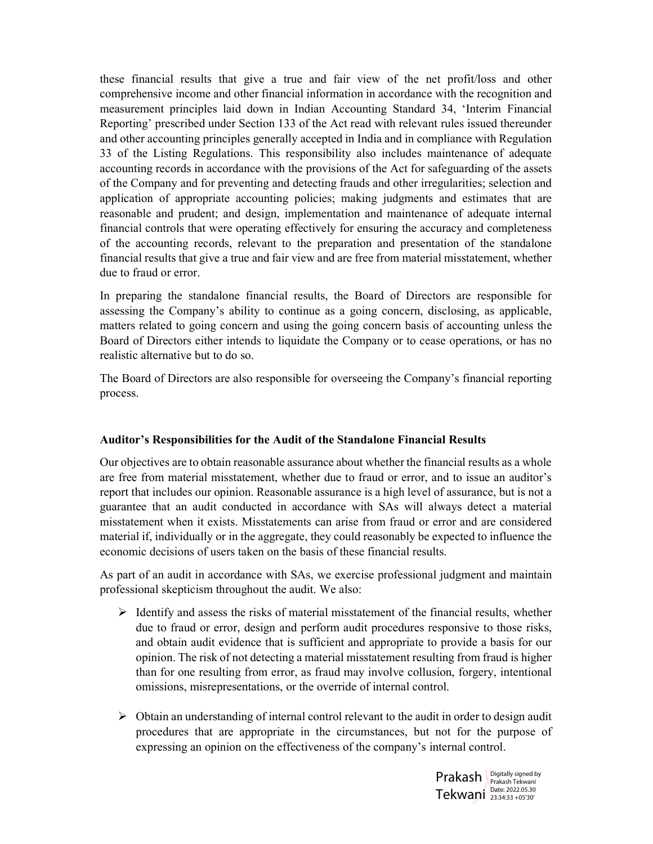these financial results that give a true and fair view of the net profit/loss and other comprehensive income and other financial information in accordance with the recognition and measurement principles laid down in Indian Accounting Standard 34, 'Interim Financial Reporting' prescribed under Section 133 of the Act read with relevant rules issued thereunder and other accounting principles generally accepted in India and in compliance with Regulation 33 of the Listing Regulations. This responsibility also includes maintenance of adequate accounting records in accordance with the provisions of the Act for safeguarding of the assets of the Company and for preventing and detecting frauds and other irregularities; selection and application of appropriate accounting policies; making judgments and estimates that are reasonable and prudent; and design, implementation and maintenance of adequate internal financial controls that were operating effectively for ensuring the accuracy and completeness of the accounting records, relevant to the preparation and presentation of the standalone financial results that give a true and fair view and are free from material misstatement, whether due to fraud or error.

In preparing the standalone financial results, the Board of Directors are responsible for assessing the Company's ability to continue as a going concern, disclosing, as applicable, matters related to going concern and using the going concern basis of accounting unless the Board of Directors either intends to liquidate the Company or to cease operations, or has no realistic alternative but to do so.

The Board of Directors are also responsible for overseeing the Company's financial reporting process.

### Auditor's Responsibilities for the Audit of the Standalone Financial Results

Our objectives are to obtain reasonable assurance about whether the financial results as a whole are free from material misstatement, whether due to fraud or error, and to issue an auditor's report that includes our opinion. Reasonable assurance is a high level of assurance, but is not a guarantee that an audit conducted in accordance with SAs will always detect a material misstatement when it exists. Misstatements can arise from fraud or error and are considered material if, individually or in the aggregate, they could reasonably be expected to influence the economic decisions of users taken on the basis of these financial results.

As part of an audit in accordance with SAs, we exercise professional judgment and maintain professional skepticism throughout the audit. We also:

- $\triangleright$  Identify and assess the risks of material misstatement of the financial results, whether due to fraud or error, design and perform audit procedures responsive to those risks, and obtain audit evidence that is sufficient and appropriate to provide a basis for our opinion. The risk of not detecting a material misstatement resulting from fraud is higher than for one resulting from error, as fraud may involve collusion, forgery, intentional omissions, misrepresentations, or the override of internal control.
- $\triangleright$  Obtain an understanding of internal control relevant to the audit in order to design audit procedures that are appropriate in the circumstances, but not for the purpose of expressing an opinion on the effectiveness of the company's internal control.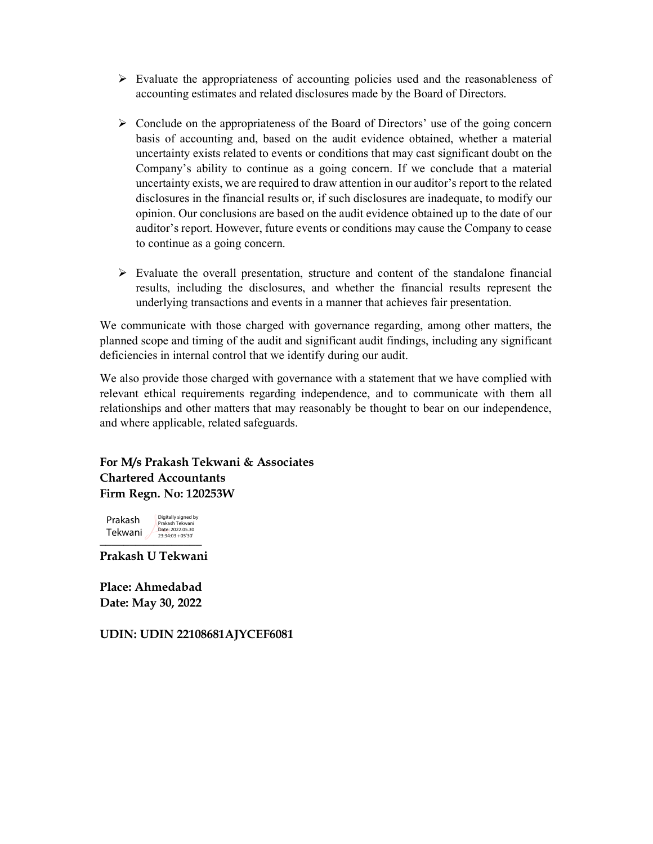- $\triangleright$  Evaluate the appropriateness of accounting policies used and the reasonableness of accounting estimates and related disclosures made by the Board of Directors.
- $\triangleright$  Conclude on the appropriateness of the Board of Directors' use of the going concern basis of accounting and, based on the audit evidence obtained, whether a material uncertainty exists related to events or conditions that may cast significant doubt on the Company's ability to continue as a going concern. If we conclude that a material uncertainty exists, we are required to draw attention in our auditor's report to the related disclosures in the financial results or, if such disclosures are inadequate, to modify our opinion. Our conclusions are based on the audit evidence obtained up to the date of our auditor's report. However, future events or conditions may cause the Company to cease to continue as a going concern.
- $\triangleright$  Evaluate the overall presentation, structure and content of the standalone financial results, including the disclosures, and whether the financial results represent the underlying transactions and events in a manner that achieves fair presentation.

We communicate with those charged with governance regarding, among other matters, the planned scope and timing of the audit and significant audit findings, including any significant deficiencies in internal control that we identify during our audit.

We also provide those charged with governance with a statement that we have complied with relevant ethical requirements regarding independence, and to communicate with them all relationships and other matters that may reasonably be thought to bear on our independence, and where applicable, related safeguards.

For M/s Prakash Tekwani & Associates Chartered Accountants Firm Regn. No: 120253W

 $\frac{\text{Tekwani}}{\frac{23:34:03+05'30'}{2}}$ Prakash Tekwani Digitally signed by Prakash Tekwani

Prakash U Tekwani

Place: Ahmedabad Date: May 30, 2022

UDIN: UDIN 22108681AJYCEF6081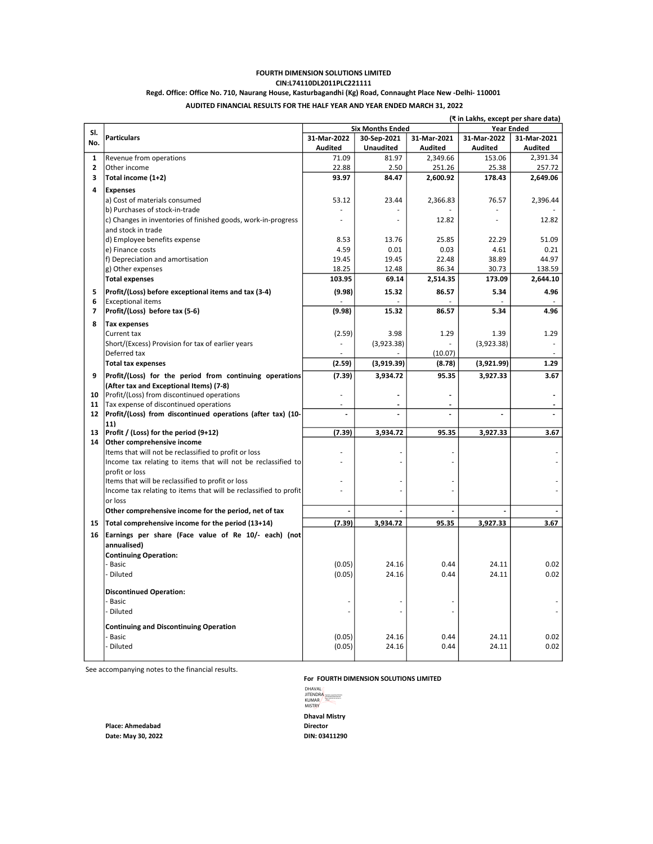#### FOURTH DIMENSION SOLUTIONS LIMITED CIN:L74110DL2011PLC221111

Regd. Office: Office No. 710, Naurang House, Kasturbagandhi (Kg) Road, Connaught Place New -Delhi- 110001

AUDITED FINANCIAL RESULTS FOR THE HALF YEAR AND YEAR ENDED MARCH 31, 2022

|                          | (₹ in Lakhs, except per share data)                                              |             |                         |                |                   |             |  |
|--------------------------|----------------------------------------------------------------------------------|-------------|-------------------------|----------------|-------------------|-------------|--|
| SI.                      |                                                                                  |             | <b>Six Months Ended</b> |                | <b>Year Ended</b> |             |  |
| No.                      | <b>Particulars</b>                                                               | 31-Mar-2022 | 30-Sep-2021             | 31-Mar-2021    | 31-Mar-2022       | 31-Mar-2021 |  |
|                          |                                                                                  | Audited     | <b>Unaudited</b>        | <b>Audited</b> | <b>Audited</b>    | Audited     |  |
| $\mathbf{1}$             | Revenue from operations                                                          | 71.09       | 81.97                   | 2,349.66       | 153.06            | 2,391.34    |  |
| $\overline{2}$           | Other income                                                                     | 22.88       | 2.50                    | 251.26         | 25.38             | 257.72      |  |
| 3                        | Total income (1+2)                                                               | 93.97       | 84.47                   | 2,600.92       | 178.43            | 2,649.06    |  |
| 4                        | <b>Expenses</b>                                                                  |             |                         |                |                   |             |  |
|                          | a) Cost of materials consumed                                                    | 53.12       | 23.44                   | 2.366.83       | 76.57             | 2.396.44    |  |
|                          | b) Purchases of stock-in-trade                                                   |             |                         |                |                   |             |  |
|                          | c) Changes in inventories of finished goods, work-in-progress                    |             | ä,                      | 12.82          |                   | 12.82       |  |
|                          | and stock in trade                                                               |             |                         |                |                   |             |  |
|                          | d) Employee benefits expense                                                     | 8.53        | 13.76                   | 25.85          | 22.29             | 51.09       |  |
|                          | e) Finance costs                                                                 | 4.59        | 0.01                    | 0.03           | 4.61              | 0.21        |  |
|                          | f) Depreciation and amortisation                                                 | 19.45       | 19.45                   | 22.48          | 38.89             | 44.97       |  |
|                          | g) Other expenses                                                                | 18.25       | 12.48                   | 86.34          | 30.73             | 138.59      |  |
|                          | <b>Total expenses</b>                                                            | 103.95      | 69.14                   | 2,514.35       | 173.09            | 2,644.10    |  |
| 5<br>6                   | Profit/(Loss) before exceptional items and tax (3-4)<br><b>Exceptional items</b> | (9.98)      | 15.32                   | 86.57          | 5.34              | 4.96        |  |
| $\overline{\phantom{a}}$ | Profit/(Loss) before tax (5-6)                                                   | (9.98)      | 15.32                   | 86.57          | 5.34              | 4.96        |  |
| 8                        | Tax expenses                                                                     |             |                         |                |                   |             |  |
|                          | Current tax                                                                      | (2.59)      | 3.98                    | 1.29           | 1.39              | 1.29        |  |
|                          | Short/(Excess) Provision for tax of earlier years                                |             | (3,923.38)              |                | (3,923.38)        |             |  |
|                          | Deferred tax                                                                     |             |                         | (10.07)        |                   |             |  |
|                          | <b>Total tax expenses</b>                                                        | (2.59)      | (3,919.39)              | (8.78)         | (3,921.99)        | 1.29        |  |
| 9                        | Profit/(Loss) for the period from continuing operations                          | (7.39)      | 3,934.72                | 95.35          | 3,927.33          | 3.67        |  |
|                          | (After tax and Exceptional Items) (7-8)                                          |             |                         |                |                   |             |  |
| 10                       | Profit/(Loss) from discontinued operations                                       |             | $\overline{a}$          | $\overline{a}$ |                   |             |  |
| 11                       | Tax expense of discontinued operations                                           |             |                         |                |                   |             |  |
|                          | 12  Profit/(Loss) from discontinued operations (after tax) (10-<br>11)           |             |                         | $\overline{a}$ | $\overline{a}$    |             |  |
| 13                       | Profit / (Loss) for the period (9+12)                                            | (7.39)      | 3,934.72                | 95.35          | 3,927.33          | 3.67        |  |
| 14                       | Other comprehensive income                                                       |             |                         |                |                   |             |  |
|                          | Items that will not be reclassified to profit or loss                            |             |                         |                |                   |             |  |
|                          | Income tax relating to items that will not be reclassified to                    |             |                         |                |                   |             |  |
|                          | profit or loss                                                                   |             |                         |                |                   |             |  |
|                          | Items that will be reclassified to profit or loss                                |             |                         |                |                   |             |  |
|                          | Income tax relating to items that will be reclassified to profit                 |             |                         |                |                   |             |  |
|                          | or loss<br>Other comprehensive income for the period, net of tax                 |             |                         |                |                   |             |  |
|                          |                                                                                  |             |                         |                |                   |             |  |
| 15                       | Total comprehensive income for the period (13+14)                                | (7.39)      | 3,934.72                | 95.35          | 3,927.33          | 3.67        |  |
|                          | 16 Earnings per share (Face value of Re 10/- each) (not<br>annualised)           |             |                         |                |                   |             |  |
|                          | <b>Continuing Operation:</b>                                                     |             |                         |                |                   |             |  |
|                          | - Basic                                                                          | (0.05)      | 24.16                   | 0.44           | 24.11             | 0.02        |  |
|                          | - Diluted                                                                        | (0.05)      | 24.16                   | 0.44           | 24.11             | 0.02        |  |
|                          | <b>Discontinued Operation:</b>                                                   |             |                         |                |                   |             |  |
|                          | <b>Basic</b>                                                                     |             |                         |                |                   |             |  |
|                          | - Diluted                                                                        |             |                         |                |                   |             |  |
|                          | <b>Continuing and Discontinuing Operation</b>                                    |             |                         |                |                   |             |  |
|                          | Basic                                                                            | (0.05)      | 24.16                   | 0.44           | 24.11             | 0.02        |  |
|                          | - Diluted                                                                        | (0.05)      | 24.16                   | 0.44           | 24.11             | 0.02        |  |
|                          |                                                                                  |             |                         |                |                   |             |  |

See accompanying notes to the financial results.

For FOURTH DIMENSION SOLUTIONS LIMITED

DHAVAL JITENDRA KUMAR MISTRY Digitally signed by DHAVAL<br>JTENDRAKUMAR MISTRY<br>Date: 2022.05.30 23:22:01<br>+05'30'

Dhaval Mistry

Place: Ahmedabad Director Date: May 30, 2022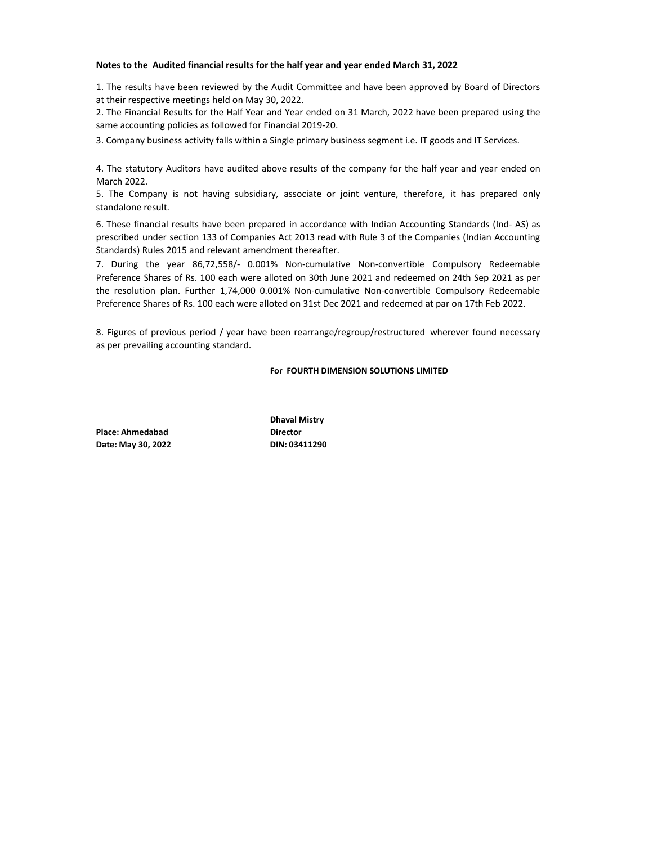#### Notes to the Audited financial results for the half year and year ended March 31, 2022

1. The results have been reviewed by the Audit Committee and have been approved by Board of Directors at their respective meetings held on May 30, 2022.

2. The Financial Results for the Half Year and Year ended on 31 March, 2022 have been prepared using the same accounting policies as followed for Financial 2019-20.

3. Company business activity falls within a Single primary business segment i.e. IT goods and IT Services.

4. The statutory Auditors have audited above results of the company for the half year and year ended on March 2022.

5. The Company is not having subsidiary, associate or joint venture, therefore, it has prepared only standalone result.

6. These financial results have been prepared in accordance with Indian Accounting Standards (Ind- AS) as prescribed under section 133 of Companies Act 2013 read with Rule 3 of the Companies (Indian Accounting Standards) Rules 2015 and relevant amendment thereafter.

7. During the year 86,72,558/- 0.001% Non-cumulative Non-convertible Compulsory Redeemable Preference Shares of Rs. 100 each were alloted on 30th June 2021 and redeemed on 24th Sep 2021 as per the resolution plan. Further 1,74,000 0.001% Non-cumulative Non-convertible Compulsory Redeemable Preference Shares of Rs. 100 each were alloted on 31st Dec 2021 and redeemed at par on 17th Feb 2022.

8. Figures of previous period / year have been rearrange/regroup/restructured wherever found necessary as per prevailing accounting standard.

#### For FOURTH DIMENSION SOLUTIONS LIMITED

Place: Ahmedabad Director Date: May 30, 2022 DIN: 03411290

Dhaval Mistry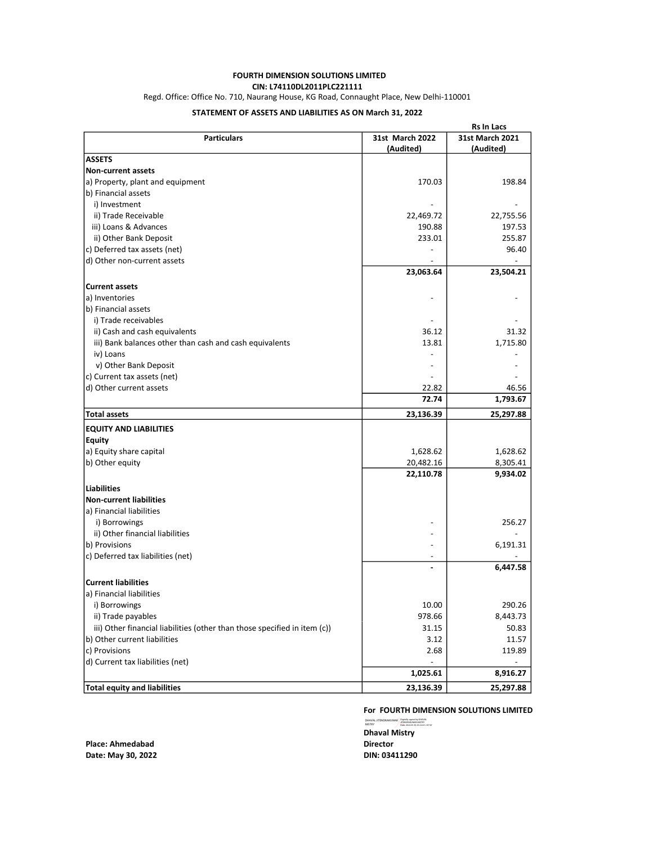#### FOURTH DIMENSION SOLUTIONS LIMITED

CIN: L74110DL2011PLC221111

Regd. Office: Office No. 710, Naurang House, KG Road, Connaught Place, New Delhi-110001

#### STATEMENT OF ASSETS AND LIABILITIES AS ON March 31, 2022

|                                                                           |                       | <b>Rs In Lacs</b>  |
|---------------------------------------------------------------------------|-----------------------|--------------------|
| <b>Particulars</b>                                                        | 31st March 2022       | 31st March 2021    |
|                                                                           | (Audited)             | (Audited)          |
| <b>ASSETS</b>                                                             |                       |                    |
| <b>Non-current assets</b>                                                 |                       |                    |
| a) Property, plant and equipment                                          | 170.03                | 198.84             |
| b) Financial assets                                                       |                       |                    |
| i) Investment                                                             |                       |                    |
| ii) Trade Receivable                                                      | 22,469.72             | 22,755.56          |
| iii) Loans & Advances                                                     | 190.88                | 197.53             |
| ii) Other Bank Deposit                                                    | 233.01                | 255.87             |
| c) Deferred tax assets (net)                                              |                       | 96.40              |
| d) Other non-current assets                                               |                       |                    |
|                                                                           | 23,063.64             | 23,504.21          |
|                                                                           |                       |                    |
| <b>Current assets</b>                                                     |                       |                    |
| a) Inventories                                                            |                       |                    |
| b) Financial assets                                                       |                       |                    |
| i) Trade receivables                                                      |                       |                    |
| ii) Cash and cash equivalents                                             | 36.12                 | 31.32              |
| iii) Bank balances other than cash and cash equivalents                   | 13.81                 | 1,715.80           |
| iv) Loans                                                                 |                       |                    |
| v) Other Bank Deposit                                                     |                       |                    |
| c) Current tax assets (net)                                               |                       |                    |
| d) Other current assets                                                   | 22.82                 | 46.56              |
|                                                                           | 72.74                 | 1,793.67           |
| <b>Total assets</b>                                                       | 23,136.39             | 25,297.88          |
| <b>EQUITY AND LIABILITIES</b>                                             |                       |                    |
| <b>Equity</b>                                                             |                       |                    |
| a) Equity share capital                                                   |                       | 1,628.62           |
| b) Other equity                                                           | 1,628.62<br>20,482.16 | 8,305.41           |
|                                                                           |                       |                    |
|                                                                           | 22,110.78             | 9,934.02           |
| <b>Liabilities</b>                                                        |                       |                    |
| <b>Non-current liabilities</b>                                            |                       |                    |
| a) Financial liabilities                                                  |                       |                    |
| i) Borrowings                                                             |                       | 256.27             |
| ii) Other financial liabilities                                           |                       |                    |
| b) Provisions                                                             |                       | 6,191.31           |
| c) Deferred tax liabilities (net)                                         |                       |                    |
|                                                                           | $\overline{a}$        | 6,447.58           |
| <b>Current liabilities</b>                                                |                       |                    |
| a) Financial liabilities                                                  |                       |                    |
| i) Borrowings                                                             | 10.00                 |                    |
| ii) Trade payables                                                        | 978.66                | 290.26<br>8,443.73 |
|                                                                           |                       |                    |
| iii) Other financial liabilities (other than those specified in item (c)) | 31.15                 | 50.83              |
| b) Other current liabilities                                              | 3.12                  | 11.57              |
| c) Provisions                                                             | 2.68                  | 119.89             |
| d) Current tax liabilities (net)                                          |                       |                    |
|                                                                           | 1,025.61              | 8,916.27           |
| <b>Total equity and liabilities</b>                                       | 23,136.39             | 25,297.88          |

For FOURTH DIMENSION SOLUTIONS LIMITED

Dhaval Mistry DHAVAL JITENDRAKUMAR MISTRY Digitally signed by DHAVAL JITENDRAKUMAR MISTRY Date: 2022.05.30 23:22:43 +05'30'

Place: Ahmedabad Director Director Director Director Director Director Director Director Director Director Director Director Director Director Director Director Director Director Director Director Director Director Directo Date: May 30, 2022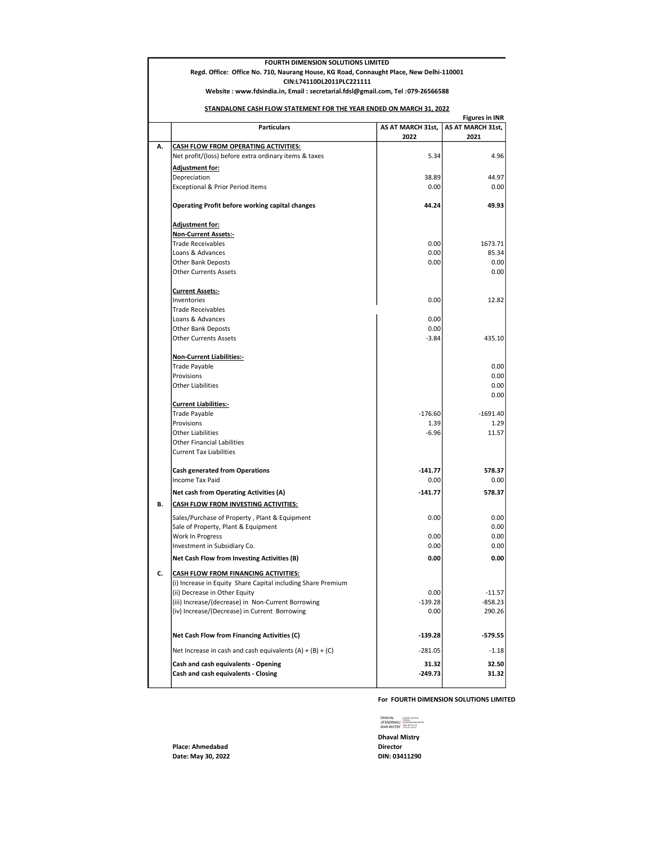#### FOURTH DIMENSION SOLUTIONS LIMITED Regd. Office: Office No. 710, Naurang House, KG Road, Connaught Place, New Delhi-110001 CIN:L74110DL2011PLC221111 Website : www.fdsindia.in, Email : secretarial.fdsl@gmail.com, Tel : 079-26566588

#### STANDALONE CASH FLOW STATEMENT FOR THE YEAR ENDED ON MARCH 31, 2022

|    |                                                              |                   | <b>Figures in INR</b> |
|----|--------------------------------------------------------------|-------------------|-----------------------|
|    | <b>Particulars</b>                                           | AS AT MARCH 31st, | AS AT MARCH 31st,     |
|    |                                                              | 2022              | 2021                  |
| А. | CASH FLOW FROM OPERATING ACTIVITIES:                         |                   |                       |
|    | Net profit/(loss) before extra ordinary items & taxes        | 5.34              | 4.96                  |
|    |                                                              |                   |                       |
|    | <b>Adjustment for:</b>                                       |                   |                       |
|    | Depreciation                                                 | 38.89             | 44.97                 |
|    | Exceptional & Prior Period Items                             | 0.00              | 0.00                  |
|    |                                                              |                   |                       |
|    | <b>Operating Profit before working capital changes</b>       | 44.24             | 49.93                 |
|    |                                                              |                   |                       |
|    | <u>Adjustment for:</u>                                       |                   |                       |
|    | <b>Non-Current Assets:-</b>                                  |                   |                       |
|    |                                                              |                   |                       |
|    | <b>Trade Receivables</b>                                     | 0.00              | 1673.71               |
|    | Loans & Advances                                             | 0.00              | 85.34                 |
|    | <b>Other Bank Deposts</b>                                    | 0.00              | 0.00                  |
|    | <b>Other Currents Assets</b>                                 |                   | 0.00                  |
|    |                                                              |                   |                       |
|    | <b>Current Assets:-</b>                                      |                   |                       |
|    | Inventories                                                  | 0.00              | 12.82                 |
|    |                                                              |                   |                       |
|    | <b>Trade Receivables</b>                                     |                   |                       |
|    | Loans & Advances                                             | 0.00              |                       |
|    | Other Bank Deposts                                           | 0.00              |                       |
|    | <b>Other Currents Assets</b>                                 | $-3.84$           | 435.10                |
|    |                                                              |                   |                       |
|    | <b>Non-Current Liabilities:-</b>                             |                   |                       |
|    | <b>Trade Payable</b>                                         |                   | 0.00                  |
|    | Provisions                                                   |                   | 0.00                  |
|    |                                                              |                   |                       |
|    | <b>Other Liabilities</b>                                     |                   | 0.00                  |
|    |                                                              |                   | 0.00                  |
|    | <b>Current Liabilities:-</b>                                 |                   |                       |
|    | Trade Payable                                                | $-176.60$         | $-1691.40$            |
|    | Provisions                                                   | 1.39              | 1.29                  |
|    | <b>Other Liabilities</b>                                     | $-6.96$           | 11.57                 |
|    | <b>Other Financial Labilities</b>                            |                   |                       |
|    |                                                              |                   |                       |
|    | <b>Current Tax Liabilities</b>                               |                   |                       |
|    |                                                              |                   |                       |
|    | <b>Cash generated from Operations</b>                        | $-141.77$         | 578.37                |
|    | Income Tax Paid                                              | 0.00              | 0.00                  |
|    | Net cash from Operating Activities (A)                       | $-141.77$         | 578.37                |
|    |                                                              |                   |                       |
| в. | CASH FLOW FROM INVESTING ACTIVITIES:                         |                   |                       |
|    | Sales/Purchase of Property, Plant & Equipment                | 0.00              | 0.00                  |
|    |                                                              |                   | 0.00                  |
|    | Sale of Property, Plant & Equipment                          |                   |                       |
|    | Work In Progress                                             | 0.00              | 0.00                  |
|    | Investment in Subsidiary Co.                                 | 0.00              | 0.00                  |
|    | Net Cash Flow from Investing Activities (B)                  | 0.00              | 0.00                  |
|    |                                                              |                   |                       |
| c. | <b>CASH FLOW FROM FINANCING ACTIVITIES:</b>                  |                   |                       |
|    | (i) Increase in Equity Share Capital including Share Premium |                   |                       |
|    | (ii) Decrease in Other Equity                                | 0.00              | $-11.57$              |
|    | (iii) Increase/(decrease) in Non-Current Borrowing           |                   |                       |
|    |                                                              | -139.28           | $-858.23$             |
|    | (iv) Increase/(Decrease) in Current Borrowing                | 0.00              | 290.26                |
|    |                                                              |                   |                       |
|    | Net Cash Flow from Financing Activities (C)                  | $-139.28$         |                       |
|    |                                                              |                   | -579.55               |
|    | Net Increase in cash and cash equivalents $(A) + (B) + (C)$  | $-281.05$         | $-1.18$               |
|    |                                                              |                   |                       |
|    | Cash and cash equivalents - Opening                          | 31.32             | 32.50                 |
|    | Cash and cash equivalents - Closing                          | $-249.73$         | 31.32                 |
|    |                                                              |                   |                       |

For FOURTH DIMENSION SOLUTIONS LIMITED

DHAVAL JITENDRAKU MAR MISTRY Digitally signed by DHAVAL JITENDRAKUMAR MISTRY Date: 2022.05.30 23:23:25 +05'30'

Dhaval Mistry

Place: Ahmedabad Director Date: May 30, 2022